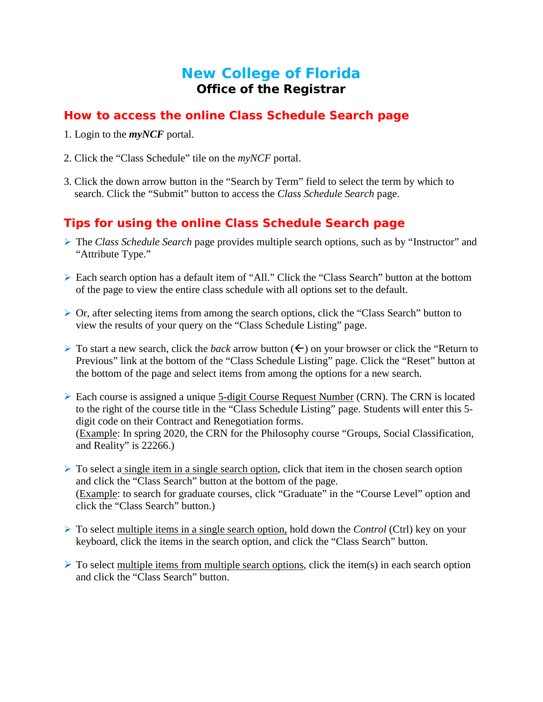# **New College of Florida Office of the Registrar**

## **How to access the online** *Class Schedule Search* **page**

- 1. Login to the *myNCF* portal.
- 2. Click the "Class Schedule" tile on the *myNCF* portal.
- 3. Click the down arrow button in the "Search by Term" field to select the term by which to search. Click the "Submit" button to access the *Class Schedule Search* page.

## **Tips for using the online** *Class Schedule Search* **page**

- The *Class Schedule Search* page provides multiple search options, such as by "Instructor" and "Attribute Type."
- Each search option has a default item of "All." Click the "Class Search" button at the bottom of the page to view the entire class schedule with all options set to the default.
- Or, after selecting items from among the search options, click the "Class Search" button to view the results of your query on the "Class Schedule Listing" page.
- $\triangleright$  To start a new search, click the *back* arrow button ( $\leftarrow$ ) on your browser or click the "Return to" Previous" link at the bottom of the "Class Schedule Listing" page. Click the "Reset" button at the bottom of the page and select items from among the options for a new search.
- Each course is assigned a unique 5-digit Course Request Number (CRN). The CRN is located to the right of the course title in the "Class Schedule Listing" page. Students will enter this 5 digit code on their Contract and Renegotiation forms. (Example: In spring 2020, the CRN for the Philosophy course "Groups, Social Classification, and Reality" is 22266.)
- $\triangleright$  To select a single item in a single search option, click that item in the chosen search option and click the "Class Search" button at the bottom of the page. (Example: to search for graduate courses, click "Graduate" in the "Course Level" option and click the "Class Search" button.)
- To select multiple items in a single search option, hold down the *Control* (Ctrl) key on your keyboard, click the items in the search option, and click the "Class Search" button.
- $\triangleright$  To select multiple items from multiple search options, click the item(s) in each search option and click the "Class Search" button.